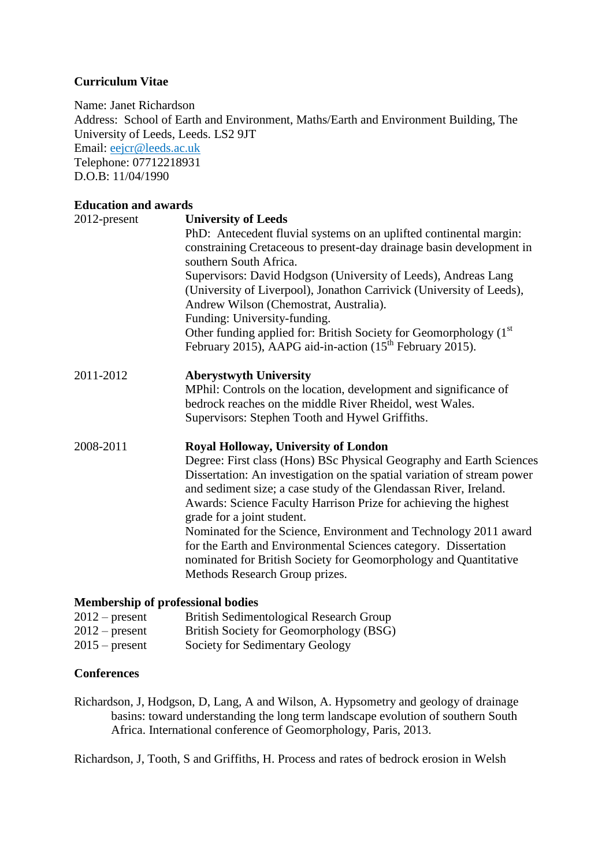### **Curriculum Vitae**

Name: Janet Richardson Address: School of Earth and Environment, Maths/Earth and Environment Building, The University of Leeds, Leeds. LS2 9JT Email: [eejcr@leeds.ac.uk](mailto:eejcr@leeds.ac.uk) Telephone: 07712218931 D.O.B: 11/04/1990

#### **Education and awards**

| 2012-present | <b>University of Leeds</b><br>PhD: Antecedent fluvial systems on an uplifted continental margin:<br>constraining Cretaceous to present-day drainage basin development in<br>southern South Africa.<br>Supervisors: David Hodgson (University of Leeds), Andreas Lang<br>(University of Liverpool), Jonathon Carrivick (University of Leeds),<br>Andrew Wilson (Chemostrat, Australia).<br>Funding: University-funding.<br>Other funding applied for: British Society for Geomorphology (1 <sup>st</sup> )<br>February 2015), AAPG aid-in-action $(15th$ February 2015).                                            |  |  |  |
|--------------|--------------------------------------------------------------------------------------------------------------------------------------------------------------------------------------------------------------------------------------------------------------------------------------------------------------------------------------------------------------------------------------------------------------------------------------------------------------------------------------------------------------------------------------------------------------------------------------------------------------------|--|--|--|
| 2011-2012    | <b>Aberystwyth University</b><br>MPhil: Controls on the location, development and significance of<br>bedrock reaches on the middle River Rheidol, west Wales.<br>Supervisors: Stephen Tooth and Hywel Griffiths.                                                                                                                                                                                                                                                                                                                                                                                                   |  |  |  |
| 2008-2011    | <b>Royal Holloway, University of London</b><br>Degree: First class (Hons) BSc Physical Geography and Earth Sciences<br>Dissertation: An investigation on the spatial variation of stream power<br>and sediment size; a case study of the Glendassan River, Ireland.<br>Awards: Science Faculty Harrison Prize for achieving the highest<br>grade for a joint student.<br>Nominated for the Science, Environment and Technology 2011 award<br>for the Earth and Environmental Sciences category. Dissertation<br>nominated for British Society for Geomorphology and Quantitative<br>Methods Research Group prizes. |  |  |  |

# **Membership of professional bodies**

| $2012$ – present   | British Sedimentological Research Group                          |
|--------------------|------------------------------------------------------------------|
| $2012$ – present   | British Society for Geomorphology (BSG)                          |
| $0.017$ $(1.0017)$ | $\alpha$ . $\alpha$ $\alpha$ $\alpha$ $\alpha$ $\alpha$ $\alpha$ |

2015 – present Society for Sedimentary Geology

### **Conferences**

Richardson, J, Hodgson, D, Lang, A and Wilson, A. Hypsometry and geology of drainage basins: toward understanding the long term landscape evolution of southern South Africa. International conference of Geomorphology, Paris, 2013.

Richardson, J, Tooth, S and Griffiths, H. Process and rates of bedrock erosion in Welsh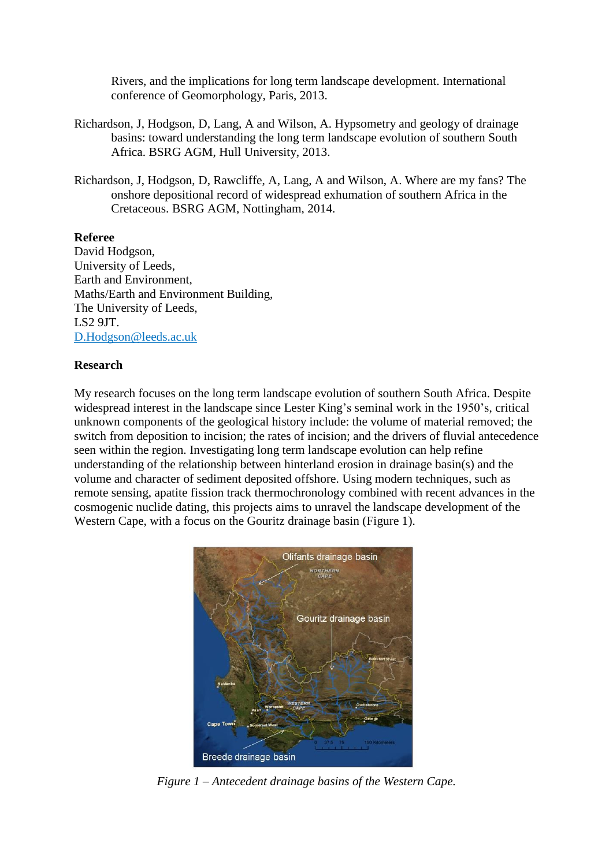Rivers, and the implications for long term landscape development. International conference of Geomorphology, Paris, 2013.

- Richardson, J, Hodgson, D, Lang, A and Wilson, A. Hypsometry and geology of drainage basins: toward understanding the long term landscape evolution of southern South Africa. BSRG AGM, Hull University, 2013.
- Richardson, J, Hodgson, D, Rawcliffe, A, Lang, A and Wilson, A. Where are my fans? The onshore depositional record of widespread exhumation of southern Africa in the Cretaceous. BSRG AGM, Nottingham, 2014.

#### **Referee**

David Hodgson, University of Leeds, Earth and Environment, Maths/Earth and Environment Building, The University of Leeds, LS2 9JT. [D.Hodgson@leeds.ac.uk](mailto:D.Hodgson@leeds.ac.uk)

#### **Research**

My research focuses on the long term landscape evolution of southern South Africa. Despite widespread interest in the landscape since Lester King's seminal work in the 1950's, critical unknown components of the geological history include: the volume of material removed; the switch from deposition to incision; the rates of incision; and the drivers of fluvial antecedence seen within the region. Investigating long term landscape evolution can help refine understanding of the relationship between hinterland erosion in drainage basin(s) and the volume and character of sediment deposited offshore. Using modern techniques, such as remote sensing, apatite fission track thermochronology combined with recent advances in the cosmogenic nuclide dating, this projects aims to unravel the landscape development of the Western Cape, with a focus on the Gouritz drainage basin (Figure 1).



*Figure 1 – Antecedent drainage basins of the Western Cape.*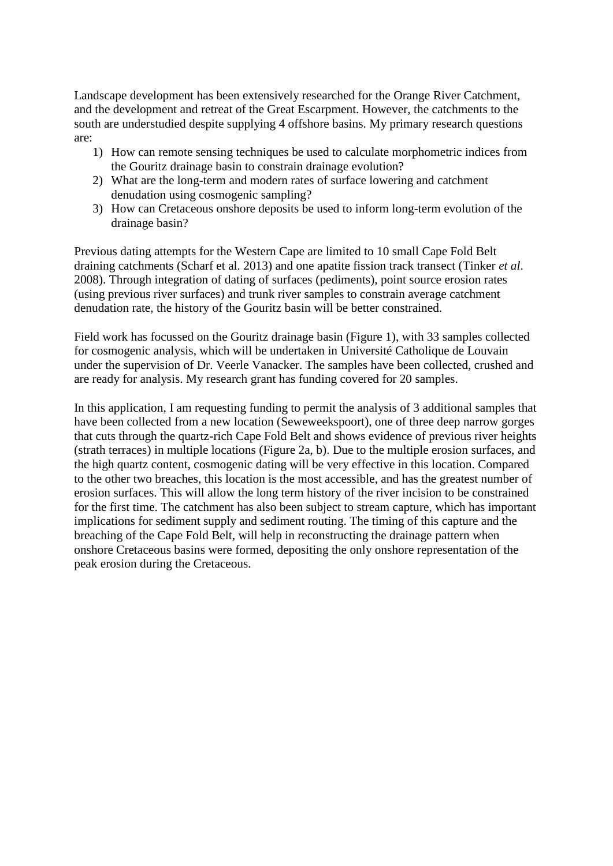Landscape development has been extensively researched for the Orange River Catchment, and the development and retreat of the Great Escarpment. However, the catchments to the south are understudied despite supplying 4 offshore basins. My primary research questions are:

- 1) How can remote sensing techniques be used to calculate morphometric indices from the Gouritz drainage basin to constrain drainage evolution?
- 2) What are the long-term and modern rates of surface lowering and catchment denudation using cosmogenic sampling?
- 3) How can Cretaceous onshore deposits be used to inform long-term evolution of the drainage basin?

Previous dating attempts for the Western Cape are limited to 10 small Cape Fold Belt draining catchments (Scharf et al. 2013) and one apatite fission track transect (Tinker *et al*. 2008). Through integration of dating of surfaces (pediments), point source erosion rates (using previous river surfaces) and trunk river samples to constrain average catchment denudation rate, the history of the Gouritz basin will be better constrained.

Field work has focussed on the Gouritz drainage basin (Figure 1), with 33 samples collected for cosmogenic analysis, which will be undertaken in [Université Catholique de Louvain](http://www.uclouvain.be/) under the supervision of Dr. Veerle Vanacker. The samples have been collected, crushed and are ready for analysis. My research grant has funding covered for 20 samples.

In this application, I am requesting funding to permit the analysis of 3 additional samples that have been collected from a new location (Seweweekspoort), one of three deep narrow gorges that cuts through the quartz-rich Cape Fold Belt and shows evidence of previous river heights (strath terraces) in multiple locations (Figure 2a, b). Due to the multiple erosion surfaces, and the high quartz content, cosmogenic dating will be very effective in this location. Compared to the other two breaches, this location is the most accessible, and has the greatest number of erosion surfaces. This will allow the long term history of the river incision to be constrained for the first time. The catchment has also been subject to stream capture, which has important implications for sediment supply and sediment routing. The timing of this capture and the breaching of the Cape Fold Belt, will help in reconstructing the drainage pattern when onshore Cretaceous basins were formed, depositing the only onshore representation of the peak erosion during the Cretaceous.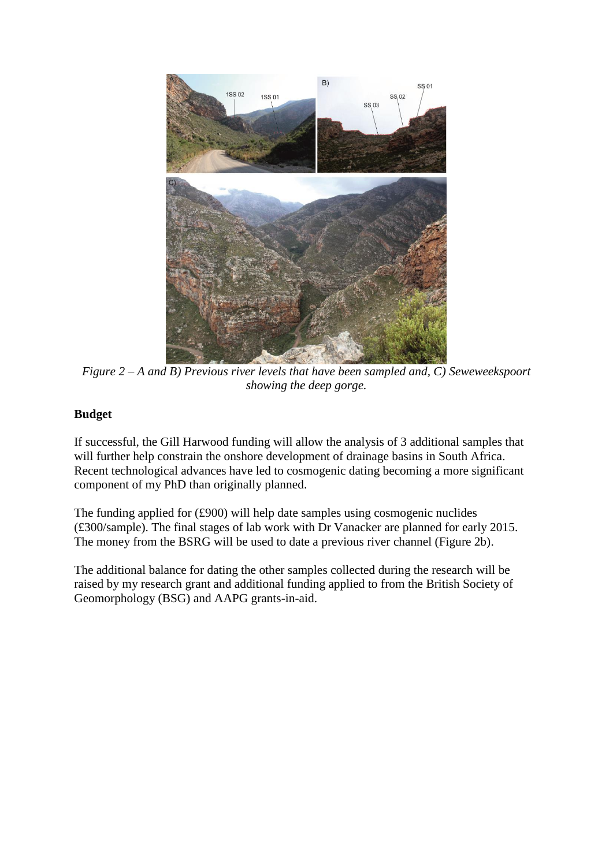

*Figure 2 – A and B) Previous river levels that have been sampled and, C) Seweweekspoort showing the deep gorge.*

# **Budget**

If successful, the Gill Harwood funding will allow the analysis of 3 additional samples that will further help constrain the onshore development of drainage basins in South Africa. Recent technological advances have led to cosmogenic dating becoming a more significant component of my PhD than originally planned.

The funding applied for  $(\text{\pounds}900)$  will help date samples using cosmogenic nuclides (£300/sample). The final stages of lab work with Dr Vanacker are planned for early 2015. The money from the BSRG will be used to date a previous river channel (Figure 2b).

The additional balance for dating the other samples collected during the research will be raised by my research grant and additional funding applied to from the British Society of Geomorphology (BSG) and AAPG grants-in-aid.